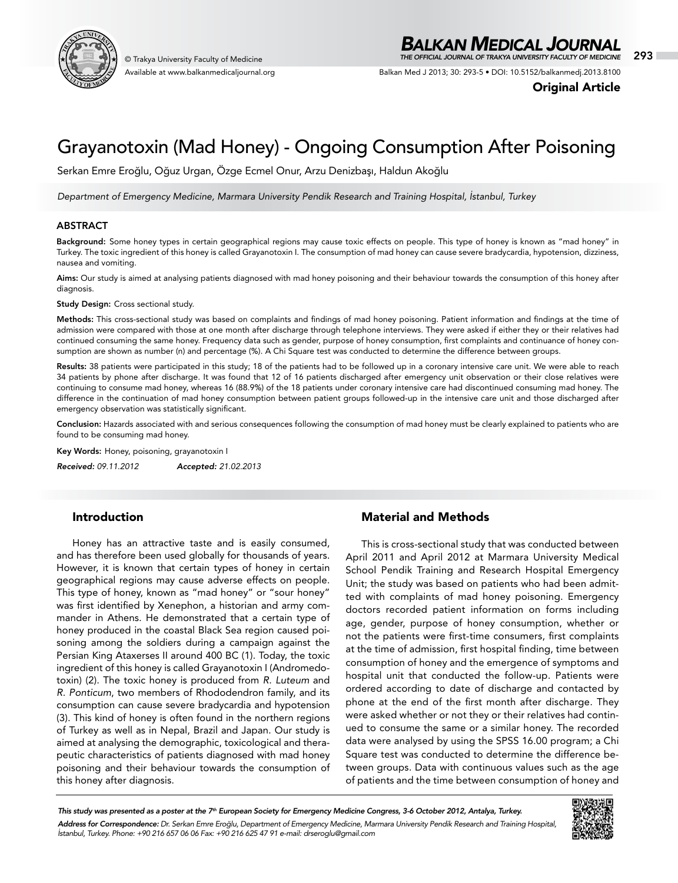

Available at www.balkanmedicaljournal.org

## *BALKAN MEDICAL JOURNAL*

© Trakya University Faculty of Medicine 293 *THE OFFICIAL JOURNAL OF TRAKYA UNIVERSITY FACULTY OF MEDICINE*

Balkan Med J 2013; 30: 293-5 • DOI: 10.5152/balkanmedj.2013.8100

Original Article

# Grayanotoxin (Mad Honey) - Ongoing Consumption After Poisoning

Serkan Emre Eroğlu, Oğuz Urgan, Özge Ecmel Onur, Arzu Denizbaşı, Haldun Akoğlu

*Department of Emergency Medicine, Marmara University Pendik Research and Training Hospital, İstanbul, Turkey*

## ABSTRACT

Background: Some honey types in certain geographical regions may cause toxic effects on people. This type of honey is known as "mad honey" in Turkey. The toxic ingredient of this honey is called Grayanotoxin I. The consumption of mad honey can cause severe bradycardia, hypotension, dizziness, nausea and vomiting.

Aims: Our study is aimed at analysing patients diagnosed with mad honey poisoning and their behaviour towards the consumption of this honey after diagnosis.

Study Design: Cross sectional study.

Methods: This cross-sectional study was based on complaints and findings of mad honey poisoning. Patient information and findings at the time of admission were compared with those at one month after discharge through telephone interviews. They were asked if either they or their relatives had continued consuming the same honey. Frequency data such as gender, purpose of honey consumption, first complaints and continuance of honey consumption are shown as number (n) and percentage (%). A Chi Square test was conducted to determine the difference between groups.

Results: 38 patients were participated in this study; 18 of the patients had to be followed up in a coronary intensive care unit. We were able to reach 34 patients by phone after discharge. It was found that 12 of 16 patients discharged after emergency unit observation or their close relatives were continuing to consume mad honey, whereas 16 (88.9%) of the 18 patients under coronary intensive care had discontinued consuming mad honey. The difference in the continuation of mad honey consumption between patient groups followed-up in the intensive care unit and those discharged after emergency observation was statistically significant.

Conclusion: Hazards associated with and serious consequences following the consumption of mad honey must be clearly explained to patients who are found to be consuming mad honey.

Key Words: Honey, poisoning, grayanotoxin I

*Received: 09.11.2012 Accepted: 21.02.2013*

## Introduction

Honey has an attractive taste and is easily consumed, and has therefore been used globally for thousands of years. However, it is known that certain types of honey in certain geographical regions may cause adverse effects on people. This type of honey, known as "mad honey" or "sour honey" was first identified by Xenephon, a historian and army commander in Athens. He demonstrated that a certain type of honey produced in the coastal Black Sea region caused poisoning among the soldiers during a campaign against the Persian King Ataxerses II around 400 BC (1). Today, the toxic ingredient of this honey is called Grayanotoxin I (Andromedotoxin) (2). The toxic honey is produced from *R. Luteum* and *R. Ponticum*, two members of Rhododendron family, and its consumption can cause severe bradycardia and hypotension (3). This kind of honey is often found in the northern regions of Turkey as well as in Nepal, Brazil and Japan. Our study is aimed at analysing the demographic, toxicological and therapeutic characteristics of patients diagnosed with mad honey poisoning and their behaviour towards the consumption of this honey after diagnosis.

## Material and Methods

This is cross-sectional study that was conducted between April 2011 and April 2012 at Marmara University Medical School Pendik Training and Research Hospital Emergency Unit; the study was based on patients who had been admitted with complaints of mad honey poisoning. Emergency doctors recorded patient information on forms including age, gender, purpose of honey consumption, whether or not the patients were first-time consumers, first complaints at the time of admission, first hospital finding, time between consumption of honey and the emergence of symptoms and hospital unit that conducted the follow-up. Patients were ordered according to date of discharge and contacted by phone at the end of the first month after discharge. They were asked whether or not they or their relatives had continued to consume the same or a similar honey. The recorded data were analysed by using the SPSS 16.00 program; a Chi Square test was conducted to determine the difference between groups. Data with continuous values such as the age of patients and the time between consumption of honey and

*This study was presented as a poster at the 7th European Society for Emergency Medicine Congress, 3-6 October 2012, Antalya, Turkey. Address for Correspondence: Dr. Serkan Emre Eroğlu, Department of Emergency Medicine, Marmara University Pendik Research and Training Hospital, İstanbul, Turkey. Phone: +90 216 657 06 06 Fax: +90 216 625 47 91 e-mail: drseroglu@gmail.com*

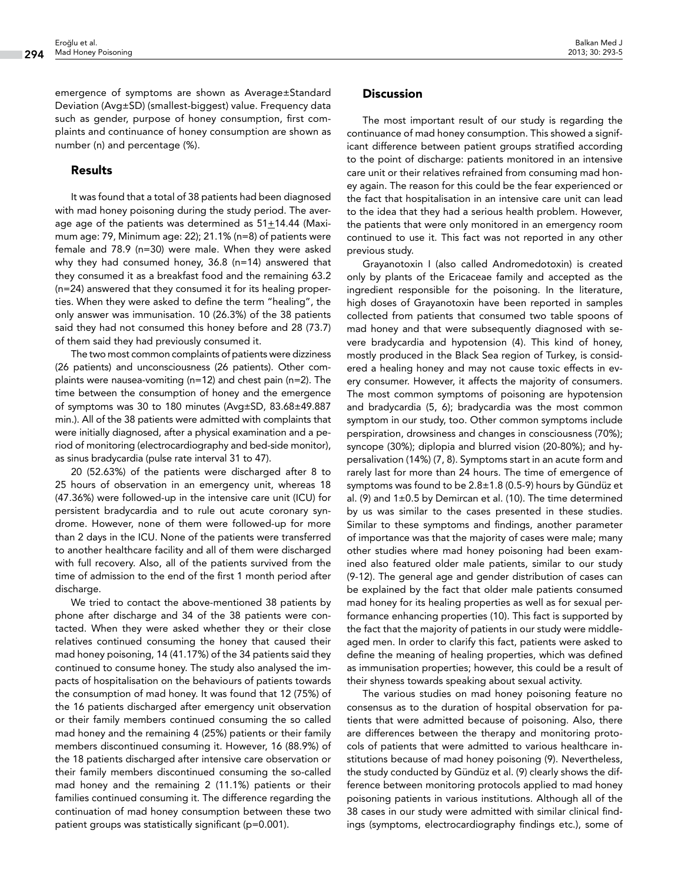emergence of symptoms are shown as Average±Standard Deviation (Avg±SD) (smallest-biggest) value. Frequency data such as gender, purpose of honey consumption, first complaints and continuance of honey consumption are shown as number (n) and percentage (%).

#### Results

It was found that a total of 38 patients had been diagnosed with mad honey poisoning during the study period. The average age of the patients was determined as 51+14.44 (Maximum age: 79, Minimum age: 22); 21.1% (n=8) of patients were female and 78.9 (n=30) were male. When they were asked why they had consumed honey, 36.8 (n=14) answered that they consumed it as a breakfast food and the remaining 63.2 (n=24) answered that they consumed it for its healing properties. When they were asked to define the term "healing", the only answer was immunisation. 10 (26.3%) of the 38 patients said they had not consumed this honey before and 28 (73.7) of them said they had previously consumed it.

The two most common complaints of patients were dizziness (26 patients) and unconsciousness (26 patients). Other complaints were nausea-vomiting (n=12) and chest pain (n=2). The time between the consumption of honey and the emergence of symptoms was 30 to 180 minutes (Avg±SD, 83.68±49.887 min.). All of the 38 patients were admitted with complaints that were initially diagnosed, after a physical examination and a period of monitoring (electrocardiography and bed-side monitor), as sinus bradycardia (pulse rate interval 31 to 47).

20 (52.63%) of the patients were discharged after 8 to 25 hours of observation in an emergency unit, whereas 18 (47.36%) were followed-up in the intensive care unit (ICU) for persistent bradycardia and to rule out acute coronary syndrome. However, none of them were followed-up for more than 2 days in the ICU. None of the patients were transferred to another healthcare facility and all of them were discharged with full recovery. Also, all of the patients survived from the time of admission to the end of the first 1 month period after discharge.

We tried to contact the above-mentioned 38 patients by phone after discharge and 34 of the 38 patients were contacted. When they were asked whether they or their close relatives continued consuming the honey that caused their mad honey poisoning, 14 (41.17%) of the 34 patients said they continued to consume honey. The study also analysed the impacts of hospitalisation on the behaviours of patients towards the consumption of mad honey. It was found that 12 (75%) of the 16 patients discharged after emergency unit observation or their family members continued consuming the so called mad honey and the remaining 4 (25%) patients or their family members discontinued consuming it. However, 16 (88.9%) of the 18 patients discharged after intensive care observation or their family members discontinued consuming the so-called mad honey and the remaining 2 (11.1%) patients or their families continued consuming it. The difference regarding the continuation of mad honey consumption between these two patient groups was statistically significant (p=0.001).

### **Discussion**

The most important result of our study is regarding the continuance of mad honey consumption. This showed a significant difference between patient groups stratified according to the point of discharge: patients monitored in an intensive care unit or their relatives refrained from consuming mad honey again. The reason for this could be the fear experienced or the fact that hospitalisation in an intensive care unit can lead to the idea that they had a serious health problem. However, the patients that were only monitored in an emergency room continued to use it. This fact was not reported in any other previous study.

Grayanotoxin I (also called Andromedotoxin) is created only by plants of the Ericaceae family and accepted as the ingredient responsible for the poisoning. In the literature, high doses of Grayanotoxin have been reported in samples collected from patients that consumed two table spoons of mad honey and that were subsequently diagnosed with severe bradycardia and hypotension (4). This kind of honey, mostly produced in the Black Sea region of Turkey, is considered a healing honey and may not cause toxic effects in every consumer. However, it affects the majority of consumers. The most common symptoms of poisoning are hypotension and bradycardia (5, 6); bradycardia was the most common symptom in our study, too. Other common symptoms include perspiration, drowsiness and changes in consciousness (70%); syncope (30%); diplopia and blurred vision (20-80%); and hypersalivation (14%) (7, 8). Symptoms start in an acute form and rarely last for more than 24 hours. The time of emergence of symptoms was found to be 2.8±1.8 (0.5-9) hours by Gündüz et al. (9) and  $1\pm0.5$  by Demircan et al. (10). The time determined by us was similar to the cases presented in these studies. Similar to these symptoms and findings, another parameter of importance was that the majority of cases were male; many other studies where mad honey poisoning had been examined also featured older male patients, similar to our study (9-12). The general age and gender distribution of cases can be explained by the fact that older male patients consumed mad honey for its healing properties as well as for sexual performance enhancing properties (10). This fact is supported by the fact that the majority of patients in our study were middleaged men. In order to clarify this fact, patients were asked to define the meaning of healing properties, which was defined as immunisation properties; however, this could be a result of their shyness towards speaking about sexual activity.

The various studies on mad honey poisoning feature no consensus as to the duration of hospital observation for patients that were admitted because of poisoning. Also, there are differences between the therapy and monitoring protocols of patients that were admitted to various healthcare institutions because of mad honey poisoning (9). Nevertheless, the study conducted by Gündüz et al. (9) clearly shows the difference between monitoring protocols applied to mad honey poisoning patients in various institutions. Although all of the 38 cases in our study were admitted with similar clinical findings (symptoms, electrocardiography findings etc.), some of